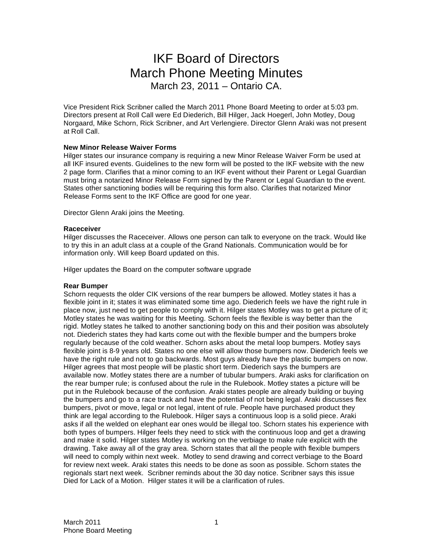# IKF Board of Directors March Phone Meeting Minutes March 23, 2011 – Ontario CA.

Vice President Rick Scribner called the March 2011 Phone Board Meeting to order at 5:03 pm. Directors present at Roll Call were Ed Diederich, Bill Hilger, Jack Hoegerl, John Motley, Doug Norgaard, Mike Schorn, Rick Scribner, and Art Verlengiere. Director Glenn Araki was not present at Roll Call.

# **New Minor Release Waiver Forms**

Hilger states our insurance company is requiring a new Minor Release Waiver Form be used at all IKF insured events. Guidelines to the new form will be posted to the IKF website with the new 2 page form. Clarifies that a minor coming to an IKF event without their Parent or Legal Guardian must bring a notarized Minor Release Form signed by the Parent or Legal Guardian to the event. States other sanctioning bodies will be requiring this form also. Clarifies that notarized Minor Release Forms sent to the IKF Office are good for one year.

Director Glenn Araki joins the Meeting.

### **Raceceiver**

Hilger discusses the Raceceiver. Allows one person can talk to everyone on the track. Would like to try this in an adult class at a couple of the Grand Nationals. Communication would be for information only. Will keep Board updated on this.

Hilger updates the Board on the computer software upgrade

### **Rear Bumper**

Schorn requests the older CIK versions of the rear bumpers be allowed. Motley states it has a flexible joint in it; states it was eliminated some time ago. Diederich feels we have the right rule in place now, just need to get people to comply with it. Hilger states Motley was to get a picture of it; Motley states he was waiting for this Meeting. Schorn feels the flexible is way better than the rigid. Motley states he talked to another sanctioning body on this and their position was absolutely not. Diederich states they had karts come out with the flexible bumper and the bumpers broke regularly because of the cold weather. Schorn asks about the metal loop bumpers. Motley says flexible joint is 8-9 years old. States no one else will allow those bumpers now. Diederich feels we have the right rule and not to go backwards. Most guys already have the plastic bumpers on now. Hilger agrees that most people will be plastic short term. Diederich says the bumpers are available now. Motley states there are a number of tubular bumpers. Araki asks for clarification on the rear bumper rule; is confused about the rule in the Rulebook. Motley states a picture will be put in the Rulebook because of the confusion. Araki states people are already building or buying the bumpers and go to a race track and have the potential of not being legal. Araki discusses flex bumpers, pivot or move, legal or not legal, intent of rule. People have purchased product they think are legal according to the Rulebook. Hilger says a continuous loop is a solid piece. Araki asks if all the welded on elephant ear ones would be illegal too. Schorn states his experience with both types of bumpers. Hilger feels they need to stick with the continuous loop and get a drawing and make it solid. Hilger states Motley is working on the verbiage to make rule explicit with the drawing. Take away all of the gray area. Schorn states that all the people with flexible bumpers will need to comply within next week. Motley to send drawing and correct verbiage to the Board for review next week. Araki states this needs to be done as soon as possible. Schorn states the regionals start next week. Scribner reminds about the 30 day notice. Scribner says this issue Died for Lack of a Motion. Hilger states it will be a clarification of rules.